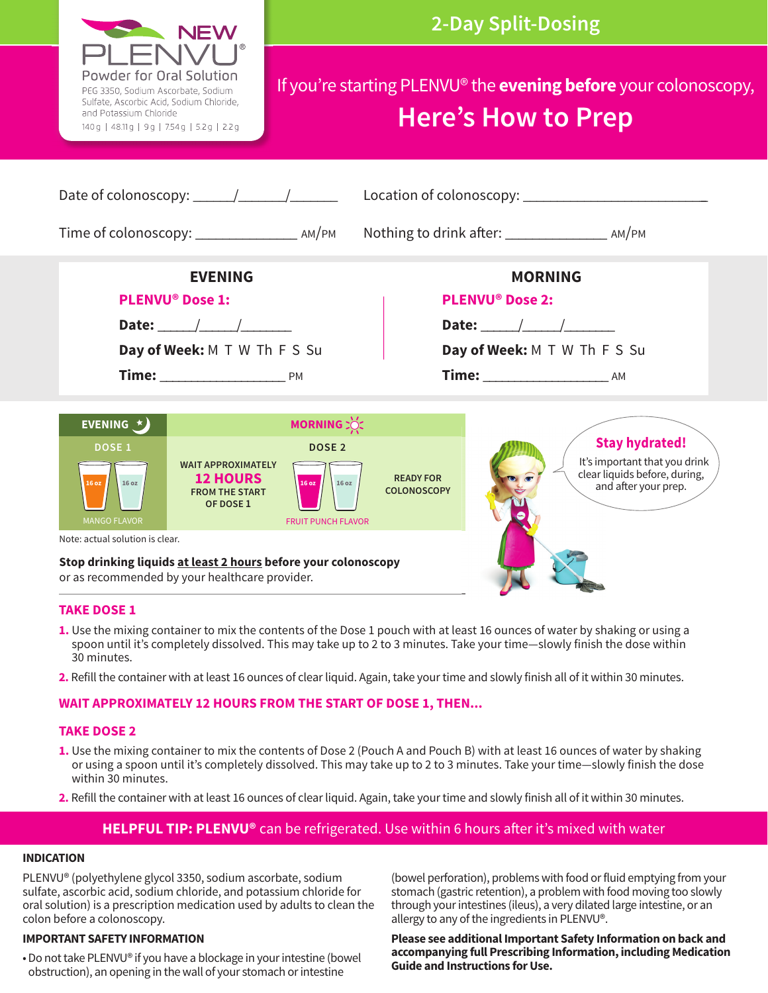

- **TAKE DOSE 1**
- **1.** Use the mixing container to mix the contents of the Dose 1 pouch with at least 16 ounces of water by shaking or using a spoon until it's completely dissolved. This may take up to 2 to 3 minutes. Take your time—slowly finish the dose within 30 minutes.
- **2.** Refill the container with at least 16 ounces of clear liquid. Again, take your time and slowly finish all of it within 30 minutes.

### **WAIT APPROXIMATELY 12 HOURS FROM THE START OF DOSE 1, THEN...**

#### **TAKE DOSE 2**

- **1.** Use the mixing container to mix the contents of Dose 2 (Pouch A and Pouch B) with at least 16 ounces of water by shaking or using a spoon until it's completely dissolved. This may take up to 2 to 3 minutes. Take your time—slowly finish the dose within 30 minutes.
- **2.** Refill the container with at least 16 ounces of clear liquid. Again, take your time and slowly finish all of it within 30 minutes.

## **HELPFUL TIP: PLENVU<sup>®</sup> can be refrigerated. Use within 6 hours after it's mixed with water**

#### **INDICATION**

PLENVU® (polyethylene glycol 3350, sodium ascorbate, sodium sulfate, ascorbic acid, sodium chloride, and potassium chloride for oral solution) is a prescription medication used by adults to clean the colon before a colonoscopy.

#### **IMPORTANT SAFETY INFORMATION**

• Do not take PLENVU® if you have a blockage in your intestine (bowel obstruction), an opening in the wall of your stomach or intestine

(bowel perforation), problems with food or fluid emptying from your stomach (gastric retention), a problem with food moving too slowly through your intestines (ileus), a very dilated large intestine, or an allergy to any of the ingredients in PLENVU®.

**Please see additional Important Safety Information on back and accompanying full Prescribing Information, including Medication Guide and Instructions for Use.**